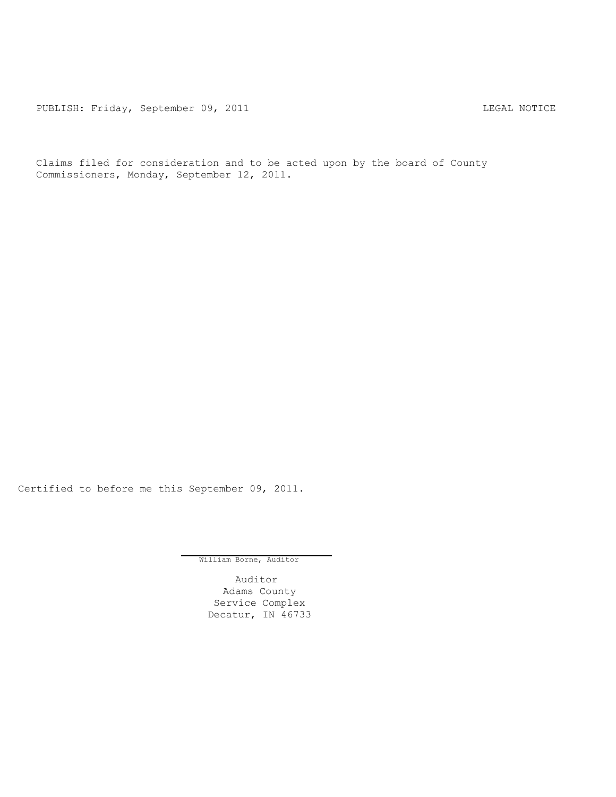PUBLISH: Friday, September 09, 2011 LEGAL NOTICE

Claims filed for consideration and to be acted upon by the board of County Commissioners, Monday, September 12, 2011.

Certified to before me this September 09, 2011.

William Borne, Auditor

Auditor Adams County Service Complex Decatur, IN 46733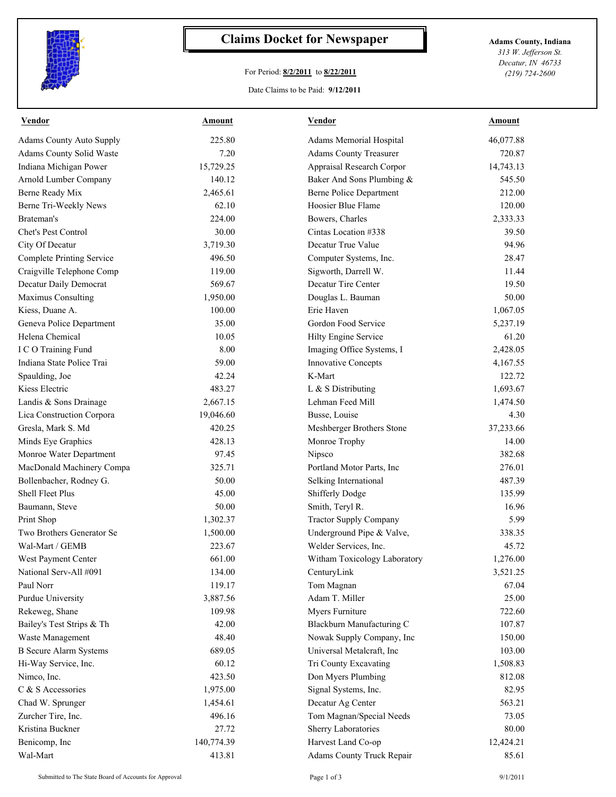

## **Claims Docket for Newspaper Adams County, Indiana**

## For Period: **8/2/2011** to **8/22/2011**

*313 W. Jefferson St. Decatur, IN 46733 (219) 724-2600*

## Date Claims to be Paid: **9/12/2011**

| <b>Vendor</b>                    | Amount     | <b>Vendor</b>                  | Amount    |
|----------------------------------|------------|--------------------------------|-----------|
| <b>Adams County Auto Supply</b>  | 225.80     | Adams Memorial Hospital        | 46,077.88 |
| Adams County Solid Waste         | 7.20       | <b>Adams County Treasurer</b>  | 720.87    |
| Indiana Michigan Power           | 15,729.25  | Appraisal Research Corpor      | 14,743.13 |
| Arnold Lumber Company            | 140.12     | Baker And Sons Plumbing &      | 545.50    |
| Berne Ready Mix                  | 2,465.61   | <b>Berne Police Department</b> | 212.00    |
| Berne Tri-Weekly News            | 62.10      | Hoosier Blue Flame             | 120.00    |
| Brateman's                       | 224.00     | Bowers, Charles                | 2,333.33  |
| Chet's Pest Control              | 30.00      | Cintas Location #338           | 39.50     |
| City Of Decatur                  | 3,719.30   | Decatur True Value             | 94.96     |
| <b>Complete Printing Service</b> | 496.50     | Computer Systems, Inc.         | 28.47     |
| Craigville Telephone Comp        | 119.00     | Sigworth, Darrell W.           | 11.44     |
| Decatur Daily Democrat           | 569.67     | Decatur Tire Center            | 19.50     |
| Maximus Consulting               | 1,950.00   | Douglas L. Bauman              | 50.00     |
| Kiess, Duane A.                  | 100.00     | Erie Haven                     | 1,067.05  |
| Geneva Police Department         | 35.00      | Gordon Food Service            | 5,237.19  |
| Helena Chemical                  | 10.05      | Hilty Engine Service           | 61.20     |
| I C O Training Fund              | 8.00       | Imaging Office Systems, I      | 2,428.05  |
| Indiana State Police Trai        | 59.00      | <b>Innovative Concepts</b>     | 4,167.55  |
| Spaulding, Joe                   | 42.24      | K-Mart                         | 122.72    |
| Kiess Electric                   | 483.27     | L & S Distributing             | 1,693.67  |
| Landis & Sons Drainage           | 2,667.15   | Lehman Feed Mill               | 1,474.50  |
| Lica Construction Corpora        | 19,046.60  | Busse, Louise                  | 4.30      |
| Gresla, Mark S. Md               | 420.25     | Meshberger Brothers Stone      | 37,233.66 |
| Minds Eye Graphics               | 428.13     | Monroe Trophy                  | 14.00     |
| Monroe Water Department          | 97.45      | Nipsco                         | 382.68    |
| MacDonald Machinery Compa        | 325.71     | Portland Motor Parts, Inc.     | 276.01    |
| Bollenbacher, Rodney G.          | 50.00      | Selking International          | 487.39    |
| <b>Shell Fleet Plus</b>          | 45.00      | <b>Shifferly Dodge</b>         | 135.99    |
| Baumann, Steve                   | 50.00      | Smith, Teryl R.                | 16.96     |
| Print Shop                       | 1,302.37   | <b>Tractor Supply Company</b>  | 5.99      |
| Two Brothers Generator Se        | 1,500.00   | Underground Pipe & Valve,      | 338.35    |
| Wal-Mart / GEMB                  | 223.67     | Welder Services, Inc.          | 45.72     |
| West Payment Center              | 661.00     | Witham Toxicology Laboratory   | 1,276.00  |
| National Serv-All #091           | 134.00     | CenturyLink                    | 3,521.25  |
| Paul Norr                        | 119.17     | Tom Magnan                     | 67.04     |
| Purdue University                | 3,887.56   | Adam T. Miller                 | 25.00     |
| Rekeweg, Shane                   | 109.98     | Myers Furniture                | 722.60    |
| Bailey's Test Strips & Th        | 42.00      | Blackburn Manufacturing C      | 107.87    |
| Waste Management                 | 48.40      | Nowak Supply Company, Inc      | 150.00    |
| <b>B</b> Secure Alarm Systems    | 689.05     | Universal Metalcraft, Inc      | 103.00    |
| Hi-Way Service, Inc.             | 60.12      | Tri County Excavating          | 1,508.83  |
| Nimeo, Inc.                      | 423.50     | Don Myers Plumbing             | 812.08    |
| C & S Accessories                | 1,975.00   | Signal Systems, Inc.           | 82.95     |
| Chad W. Sprunger                 | 1,454.61   | Decatur Ag Center              | 563.21    |
| Zurcher Tire, Inc.               | 496.16     | Tom Magnan/Special Needs       | 73.05     |
| Kristina Buckner                 | 27.72      | Sherry Laboratories            | 80.00     |
| Benicomp, Inc                    | 140,774.39 | Harvest Land Co-op             | 12,424.21 |
| Wal-Mart                         | 413.81     | Adams County Truck Repair      | 85.61     |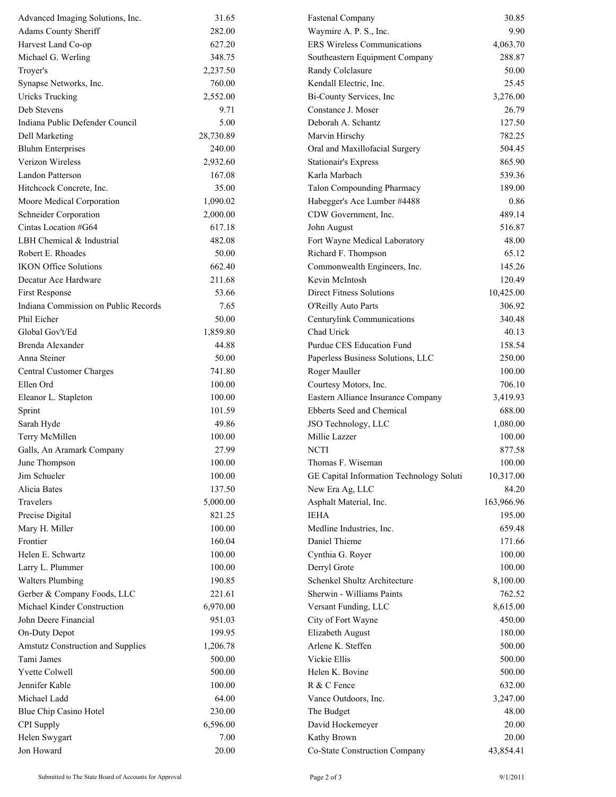| Advanced Imaging Solutions, Inc.         | 31.65     | <b>Fastenal Company</b>                  | 30.85      |
|------------------------------------------|-----------|------------------------------------------|------------|
| Adams County Sheriff                     | 282.00    | Waymire A. P. S., Inc.                   | 9.90       |
| Harvest Land Co-op                       | 627.20    | <b>ERS Wireless Communications</b>       | 4,063.70   |
| Michael G. Werling                       | 348.75    | Southeastern Equipment Company           | 288.87     |
| Troyer's                                 | 2,237.50  | Randy Colclasure                         | 50.00      |
| Synapse Networks, Inc.                   | 760.00    | Kendall Electric, Inc.                   | 25.45      |
| <b>Uricks Trucking</b>                   | 2,552.00  | Bi-County Services, Inc                  | 3,276.00   |
| Deb Stevens                              | 9.71      | Constance J. Moser                       | 26.79      |
| Indiana Public Defender Council          | 5.00      | Deborah A. Schantz                       | 127.50     |
| Dell Marketing                           | 28,730.89 | Marvin Hirschy                           | 782.25     |
| <b>Bluhm Enterprises</b>                 | 240.00    | Oral and Maxillofacial Surgery           | 504.45     |
| Verizon Wireless                         | 2,932.60  | <b>Stationair's Express</b>              | 865.90     |
| Landon Patterson                         | 167.08    | Karla Marbach                            | 539.36     |
| Hitchcock Concrete, Inc.                 | 35.00     | Talon Compounding Pharmacy               | 189.00     |
| Moore Medical Corporation                | 1,090.02  | Habegger's Ace Lumber #4488              | 0.86       |
| <b>Schneider Corporation</b>             | 2,000.00  | CDW Government, Inc.                     | 489.14     |
| Cintas Location #G64                     | 617.18    | John August                              | 516.87     |
| LBH Chemical & Industrial                | 482.08    | Fort Wayne Medical Laboratory            | 48.00      |
| Robert E. Rhoades                        | 50.00     | Richard F. Thompson                      | 65.12      |
| <b>IKON Office Solutions</b>             | 662.40    | Commonwealth Engineers, Inc.             | 145.26     |
| Decatur Ace Hardware                     | 211.68    | Kevin McIntosh                           | 120.49     |
| <b>First Response</b>                    | 53.66     | <b>Direct Fitness Solutions</b>          | 10,425.00  |
| Indiana Commission on Public Records     | 7.65      | O'Reilly Auto Parts                      | 306.92     |
| Phil Eicher                              | 50.00     | Centurylink Communications               | 340.48     |
| Global Gov't/Ed                          | 1,859.80  | Chad Urick                               | 40.13      |
| <b>Brenda Alexander</b>                  | 44.88     | Purdue CES Education Fund                | 158.54     |
| Anna Steiner                             | 50.00     | Paperless Business Solutions, LLC        | 250.00     |
| Central Customer Charges                 | 741.80    | Roger Mauller                            | 100.00     |
| Ellen Ord                                | 100.00    | Courtesy Motors, Inc.                    | 706.10     |
| Eleanor L. Stapleton                     | 100.00    | Eastern Alliance Insurance Company       | 3,419.93   |
| Sprint                                   | 101.59    | Ebberts Seed and Chemical                | 688.00     |
| Sarah Hyde                               | 49.86     | JSO Technology, LLC                      | 1,080.00   |
| Terry McMillen                           | 100.00    | Millie Lazzer                            | 100.00     |
| Galls, An Aramark Company                | 27.99     | <b>NCTI</b>                              | 877.58     |
| June Thompson                            | 100.00    | Thomas F. Wiseman                        | 100.00     |
| Jim Schueler                             | 100.00    | GE Capital Information Technology Soluti | 10,317.00  |
| Alicia Bates                             | 137.50    | New Era Ag, LLC                          | 84.20      |
| Travelers                                | 5,000.00  | Asphalt Material, Inc.                   | 163,966.96 |
| Precise Digital                          | 821.25    | <b>IEHA</b>                              | 195.00     |
| Mary H. Miller                           | 100.00    | Medline Industries, Inc.                 | 659.48     |
| Frontier                                 | 160.04    | Daniel Thieme                            | 171.66     |
| Helen E. Schwartz                        | 100.00    | Cynthia G. Royer                         | 100.00     |
| Larry L. Plummer                         | 100.00    | Derryl Grote                             | 100.00     |
| <b>Walters Plumbing</b>                  | 190.85    | Schenkel Shultz Architecture             | 8,100.00   |
| Gerber & Company Foods, LLC              | 221.61    | Sherwin - Williams Paints                | 762.52     |
| Michael Kinder Construction              | 6,970.00  | Versant Funding, LLC                     | 8,615.00   |
| John Deere Financial                     | 951.03    | City of Fort Wayne                       | 450.00     |
| On-Duty Depot                            | 199.95    | Elizabeth August                         | 180.00     |
| <b>Amstutz Construction and Supplies</b> | 1,206.78  | Arlene K. Steffen                        | 500.00     |
| Tami James                               | 500.00    | Vickie Ellis                             | 500.00     |
| Yvette Colwell                           | 500.00    | Helen K. Bovine                          | 500.00     |
| Jennifer Kable                           | 100.00    | R & C Fence                              | 632.00     |
| Michael Ladd                             | 64.00     | Vance Outdoors, Inc.                     | 3,247.00   |
| Blue Chip Casino Hotel                   | 230.00    | The Budget                               | 48.00      |
| CPI Supply                               | 6,596.00  | David Hockemeyer                         | 20.00      |
| Helen Swygart                            | 7.00      | Kathy Brown                              | 20.00      |
| Jon Howard                               | 20.00     | Co-State Construction Company            | 43,854.41  |